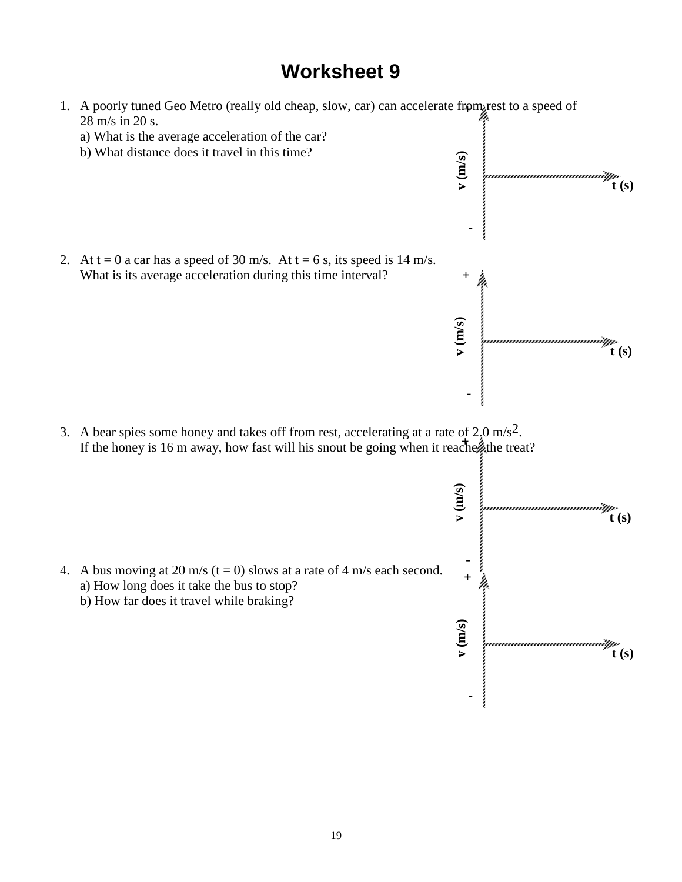# **Worksheet 9**

1. A poorly tuned Geo Metro (really old cheap, slow, car) can accelerate from rest to a speed of **(m/s) +** 28 m/s in 20 s. a) What is the average acceleration of the car? b) What distance does it travel in this time? **v** (m/s) **t (s)** i **-** 2. At  $t = 0$  a car has a speed of 30 m/s. At  $t = 6$  s, its speed is 14 m/s. What is its average acceleration during this time interval? **(m/s) + All communication v** (m/s) **t (s) -** 3. A bear spies some honey and takes off from rest, accelerating at a rate of  $2.0 \text{ m/s}^2$ .  $\lim_{x \to 0} \frac{\sin x}{x}$ If the honey is 16 m away, how fast will his snout be going when it reachentle treat? **v** (m/s) **t (s)**  in an Indonesia.<br>Ma 4. A bus moving at 20 m/s ( $t = 0$ ) slows at a rate of 4 m/s each second. **(m/s) +**  $\ddot{+}$ a) How long does it take the bus to stop? b) How far does it travel while braking? **v** (m/s) **t (s)-**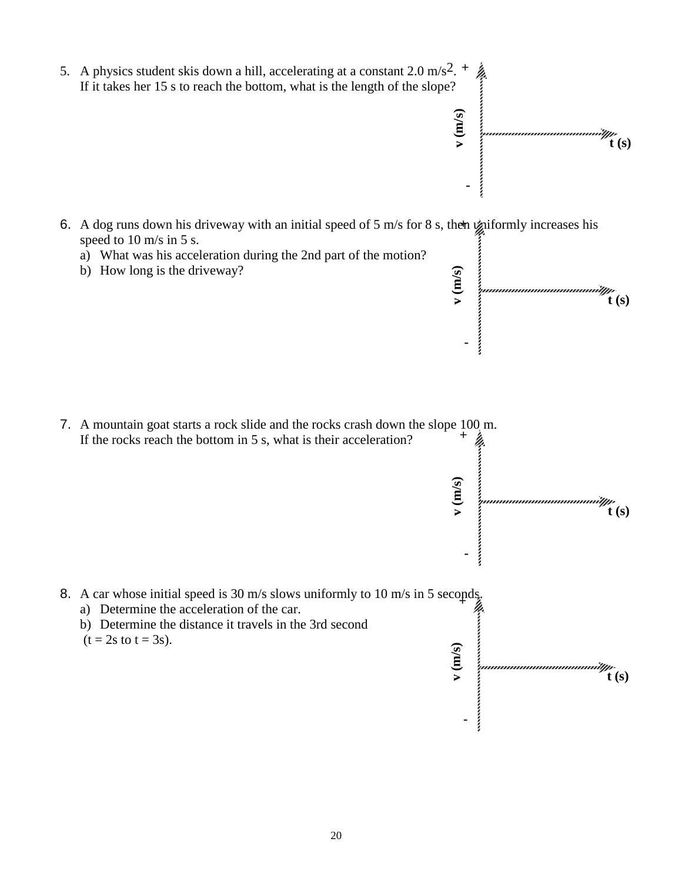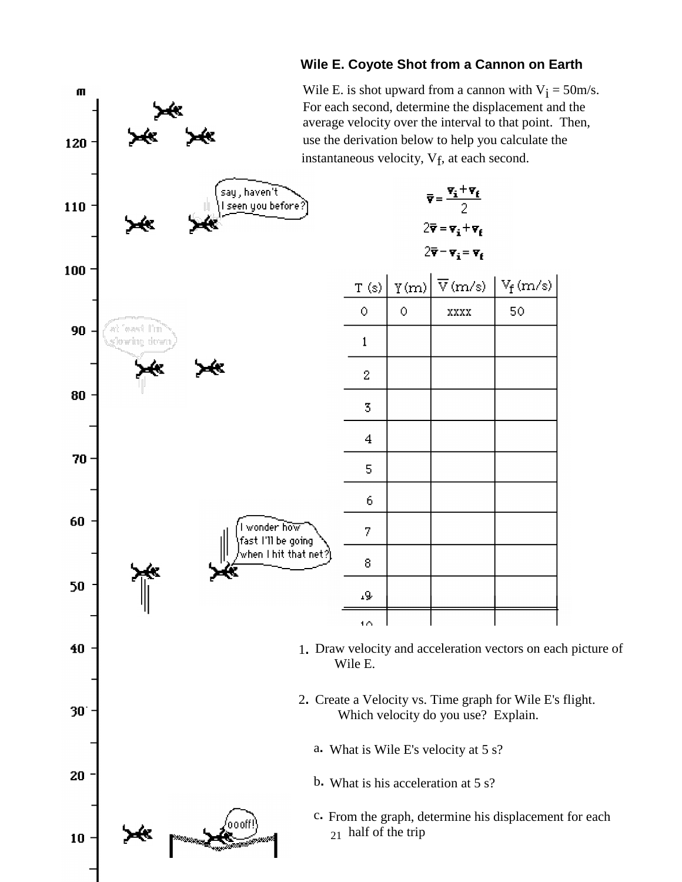## **Wile E. Coyote Shot from a Cannon on Earth**

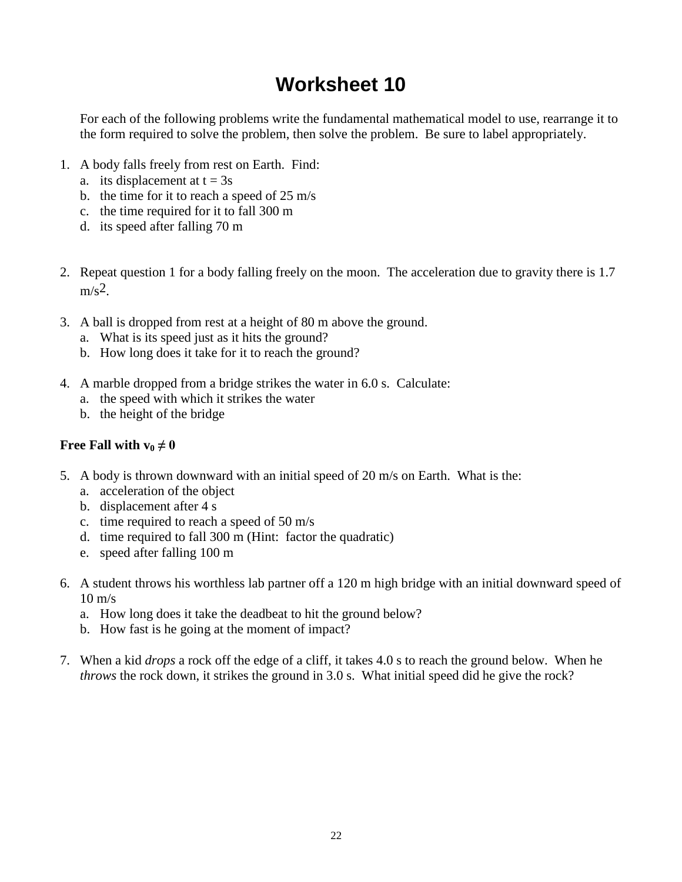# **Worksheet 10**

For each of the following problems write the fundamental mathematical model to use, rearrange it to the form required to solve the problem, then solve the problem. Be sure to label appropriately.

- 1. A body falls freely from rest on Earth. Find:
	- a. its displacement at  $t = 3s$
	- b. the time for it to reach a speed of 25 m/s
	- c. the time required for it to fall 300 m
	- d. its speed after falling 70 m
- 2. Repeat question 1 for a body falling freely on the moon. The acceleration due to gravity there is 1.7  $m/s^2$
- 3. A ball is dropped from rest at a height of 80 m above the ground.
	- a. What is its speed just as it hits the ground?
	- b. How long does it take for it to reach the ground?
- 4. A marble dropped from a bridge strikes the water in 6.0 s. Calculate:
	- a. the speed with which it strikes the water
	- b. the height of the bridge

### **Free Fall with**  $v_0 \neq 0$

- 5. A body is thrown downward with an initial speed of 20 m/s on Earth. What is the:
	- a. acceleration of the object
	- b. displacement after 4 s
	- c. time required to reach a speed of 50 m/s
	- d. time required to fall 300 m (Hint: factor the quadratic)
	- e. speed after falling 100 m
- 6. A student throws his worthless lab partner off a 120 m high bridge with an initial downward speed of  $10 \text{ m/s}$ 
	- a. How long does it take the deadbeat to hit the ground below?
	- b. How fast is he going at the moment of impact?
- 7. When a kid *drops* a rock off the edge of a cliff, it takes 4.0 s to reach the ground below. When he *throws* the rock down, it strikes the ground in 3.0 s. What initial speed did he give the rock?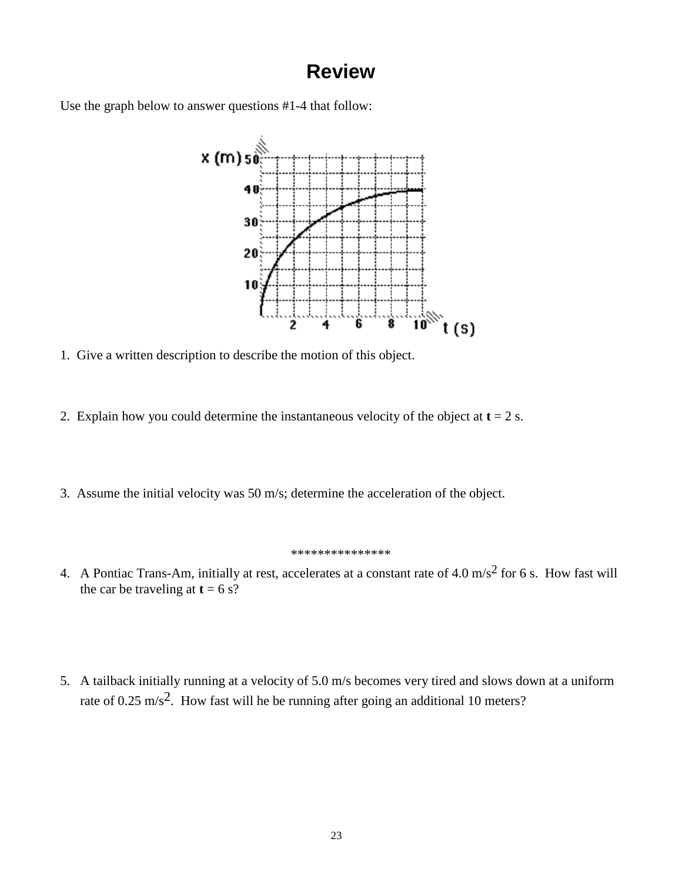## **Review**

Use the graph below to answer questions #1-4 that follow:



- 1. Give a written description to describe the motion of this object.
- 2. Explain how you could determine the instantaneous velocity of the object at  $t = 2$  s.
- 3. Assume the initial velocity was 50 m/s; determine the acceleration of the object.

#### \*\*\*\*\*\*\*\*\*\*\*\*\*\*\*

- 4. A Pontiac Trans-Am, initially at rest, accelerates at a constant rate of 4.0 m/s<sup>2</sup> for 6 s. How fast will the car be traveling at  $t = 6$  s?
- 5. A tailback initially running at a velocity of 5.0 m/s becomes very tired and slows down at a uniform rate of 0.25 m/s<sup>2</sup>. How fast will he be running after going an additional 10 meters?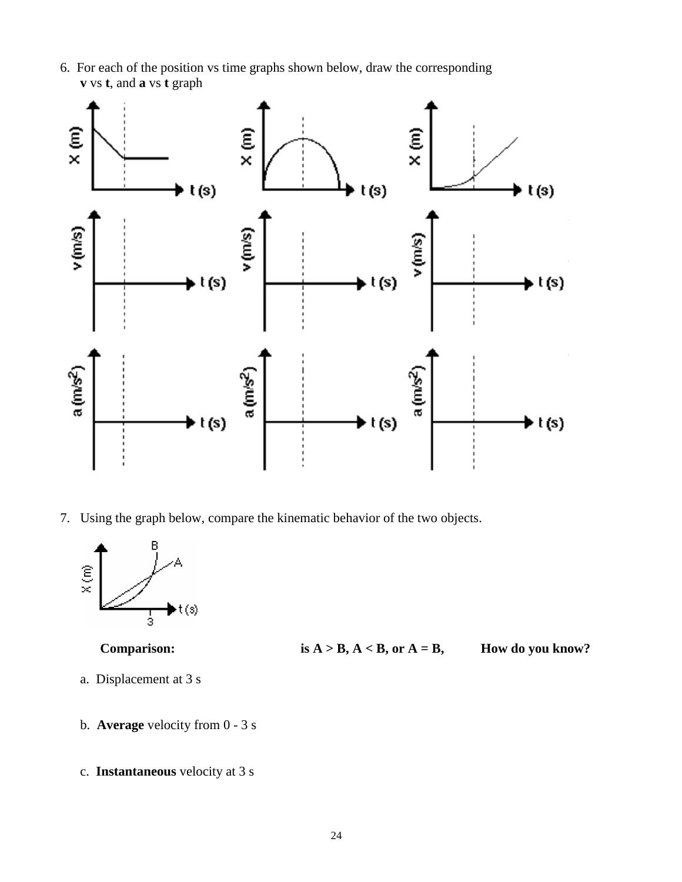6. For each of the position vs time graphs shown below, draw the corresponding **v** vs **t**, and **a** vs **t** graph



7. Using the graph below, compare the kinematic behavior of the two objects.



**Comparison: is**  $A > B$ **,**  $A < B$ **, or**  $A = B$ **, How do you know?** 

- a. Displacement at 3 s
- b. **Average** velocity from 0 3 s
- c. **Instantaneous** velocity at 3 s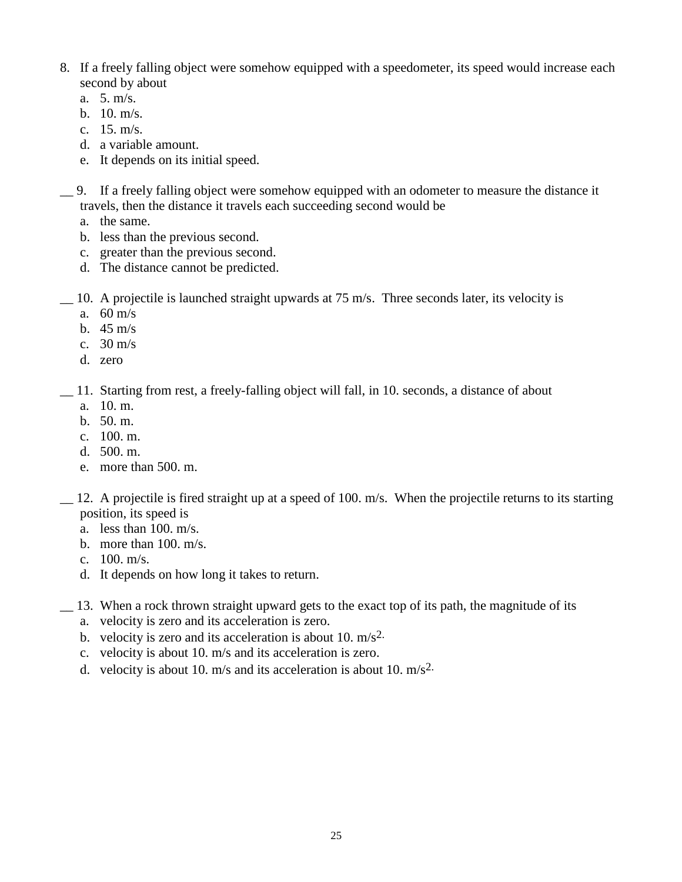- 8. If a freely falling object were somehow equipped with a speedometer, its speed would increase each second by about
	- a. 5. m/s.
	- b. 10. m/s.
	- c. 15. m/s.
	- d. a variable amount.
	- e. It depends on its initial speed.
- \_\_ 9. If a freely falling object were somehow equipped with an odometer to measure the distance it travels, then the distance it travels each succeeding second would be
	- a. the same.
	- b. less than the previous second.
	- c. greater than the previous second.
	- d. The distance cannot be predicted.
- \_\_ 10. A projectile is launched straight upwards at 75 m/s. Three seconds later, its velocity is
	- a. 60 m/s
	- b. 45 m/s
	- c. 30 m/s
	- d. zero
- \_\_ 11. Starting from rest, a freely-falling object will fall, in 10. seconds, a distance of about
	- a. 10. m.
	- b. 50. m.
	- c. 100. m.
	- d. 500. m.
	- e. more than 500. m.
- \_\_ 12. A projectile is fired straight up at a speed of 100. m/s. When the projectile returns to its starting position, its speed is
	- a. less than 100. m/s.
	- b. more than 100. m/s.
	- c. 100. m/s.
	- d. It depends on how long it takes to return.
- \_\_ 13. When a rock thrown straight upward gets to the exact top of its path, the magnitude of its
	- a. velocity is zero and its acceleration is zero.
	- b. velocity is zero and its acceleration is about 10.  $m/s^2$ .
	- c. velocity is about 10. m/s and its acceleration is zero.
	- d. velocity is about 10.  $m/s$  and its acceleration is about 10.  $m/s<sup>2</sup>$ .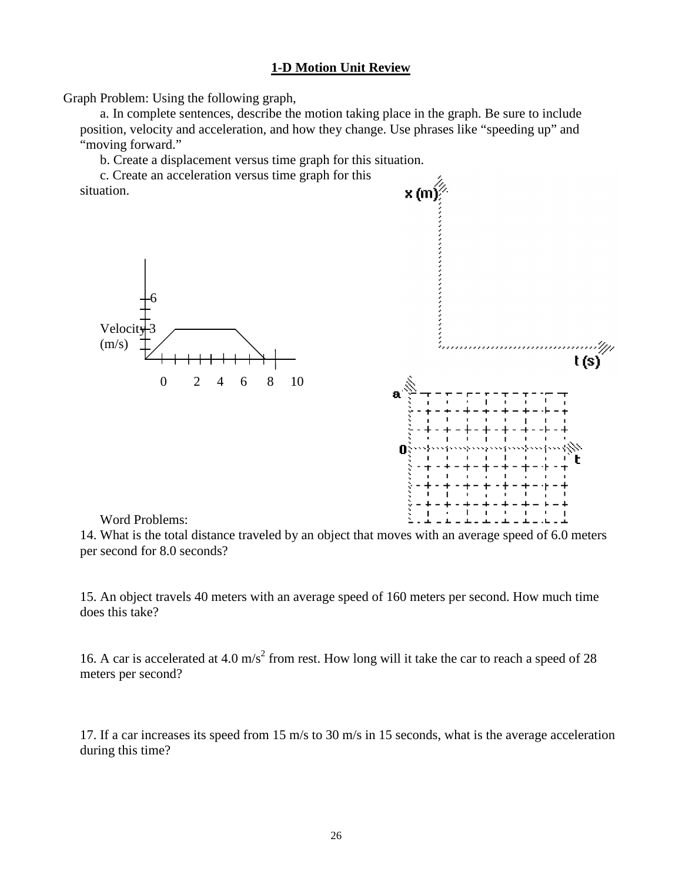### **1-D Motion Unit Review**

Graph Problem: Using the following graph,

a. In complete sentences, describe the motion taking place in the graph. Be sure to include position, velocity and acceleration, and how they change. Use phrases like "speeding up" and "moving forward."

b. Create a displacement versus time graph for this situation.

c. Create an acceleration versus time graph for this situation.





### Word Problems:

14. What is the total distance traveled by an object that moves with an average speed of 6.0 meters per second for 8.0 seconds?

15. An object travels 40 meters with an average speed of 160 meters per second. How much time does this take?

16. A car is accelerated at 4.0 m/s<sup>2</sup> from rest. How long will it take the car to reach a speed of 28 meters per second?

17. If a car increases its speed from 15 m/s to 30 m/s in 15 seconds, what is the average acceleration during this time?